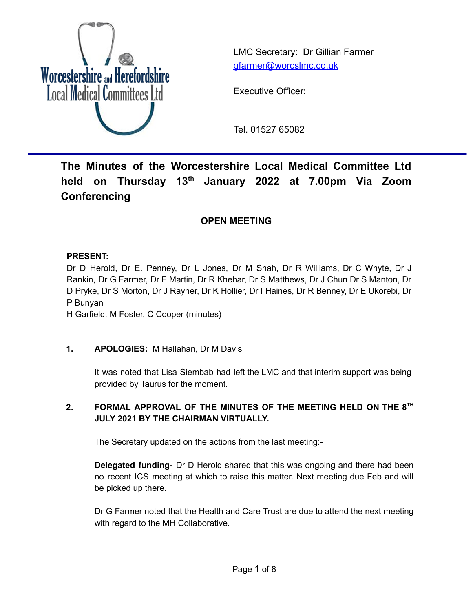

LMC Secretary: Dr Gillian Farmer [gfarmer@worcslmc.co.uk](mailto:gfarmer@worcslmc.co.uk)

Executive Officer:

Tel. 01527 65082

# **The Minutes of the Worcestershire Local Medical Committee Ltd held on Thursday 13 th January 2022 at 7.00pm Via Zoom Conferencing**

# **OPEN MEETING**

## **PRESENT:**

Dr D Herold, Dr E. Penney, Dr L Jones, Dr M Shah, Dr R Williams, Dr C Whyte, Dr J Rankin, Dr G Farmer, Dr F Martin, Dr R Khehar, Dr S Matthews, Dr J Chun Dr S Manton, Dr D Pryke, Dr S Morton, Dr J Rayner, Dr K Hollier, Dr I Haines, Dr R Benney, Dr E Ukorebi, Dr P Bunyan

H Garfield, M Foster, C Cooper (minutes)

# **1. APOLOGIES:** M Hallahan, Dr M Davis

It was noted that Lisa Siembab had left the LMC and that interim support was being provided by Taurus for the moment.

# **2. FORMAL APPROVAL OF THE MINUTES OF THE MEETING HELD ON THE 8 TH JULY 2021 BY THE CHAIRMAN VIRTUALLY.**

The Secretary updated on the actions from the last meeting:-

**Delegated funding-** Dr D Herold shared that this was ongoing and there had been no recent ICS meeting at which to raise this matter. Next meeting due Feb and will be picked up there.

Dr G Farmer noted that the Health and Care Trust are due to attend the next meeting with regard to the MH Collaborative.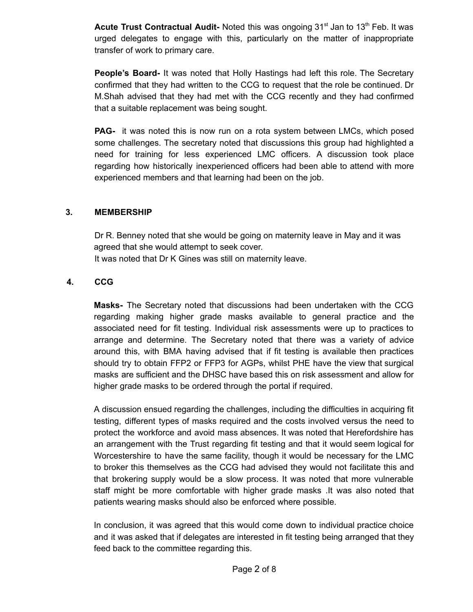**Acute Trust Contractual Audit-** Noted this was ongoing 31<sup>st</sup> Jan to 13<sup>th</sup> Feb. It was urged delegates to engage with this, particularly on the matter of inappropriate transfer of work to primary care.

**People's Board-** It was noted that Holly Hastings had left this role. The Secretary confirmed that they had written to the CCG to request that the role be continued. Dr M.Shah advised that they had met with the CCG recently and they had confirmed that a suitable replacement was being sought.

**PAG-** it was noted this is now run on a rota system between LMCs, which posed some challenges. The secretary noted that discussions this group had highlighted a need for training for less experienced LMC officers. A discussion took place regarding how historically inexperienced officers had been able to attend with more experienced members and that learning had been on the job.

#### **3. MEMBERSHIP**

Dr R. Benney noted that she would be going on maternity leave in May and it was agreed that she would attempt to seek cover. It was noted that Dr K Gines was still on maternity leave.

#### **4. CCG**

**Masks-** The Secretary noted that discussions had been undertaken with the CCG regarding making higher grade masks available to general practice and the associated need for fit testing. Individual risk assessments were up to practices to arrange and determine. The Secretary noted that there was a variety of advice around this, with BMA having advised that if fit testing is available then practices should try to obtain FFP2 or FFP3 for AGPs, whilst PHE have the view that surgical masks are sufficient and the DHSC have based this on risk assessment and allow for higher grade masks to be ordered through the portal if required.

A discussion ensued regarding the challenges, including the difficulties in acquiring fit testing, different types of masks required and the costs involved versus the need to protect the workforce and avoid mass absences. It was noted that Herefordshire has an arrangement with the Trust regarding fit testing and that it would seem logical for Worcestershire to have the same facility, though it would be necessary for the LMC to broker this themselves as the CCG had advised they would not facilitate this and that brokering supply would be a slow process. It was noted that more vulnerable staff might be more comfortable with higher grade masks .It was also noted that patients wearing masks should also be enforced where possible.

In conclusion, it was agreed that this would come down to individual practice choice and it was asked that if delegates are interested in fit testing being arranged that they feed back to the committee regarding this.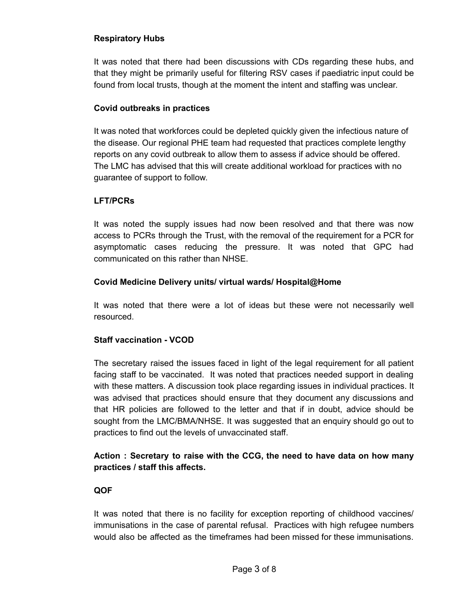#### **Respiratory Hubs**

It was noted that there had been discussions with CDs regarding these hubs, and that they might be primarily useful for filtering RSV cases if paediatric input could be found from local trusts, though at the moment the intent and staffing was unclear.

#### **Covid outbreaks in practices**

It was noted that workforces could be depleted quickly given the infectious nature of the disease. Our regional PHE team had requested that practices complete lengthy reports on any covid outbreak to allow them to assess if advice should be offered. The LMC has advised that this will create additional workload for practices with no guarantee of support to follow.

## **LFT/PCRs**

It was noted the supply issues had now been resolved and that there was now access to PCRs through the Trust, with the removal of the requirement for a PCR for asymptomatic cases reducing the pressure. It was noted that GPC had communicated on this rather than NHSE.

#### **Covid Medicine Delivery units/ virtual wards/ Hospital@Home**

It was noted that there were a lot of ideas but these were not necessarily well resourced.

## **Staff vaccination - VCOD**

The secretary raised the issues faced in light of the legal requirement for all patient facing staff to be vaccinated. It was noted that practices needed support in dealing with these matters. A discussion took place regarding issues in individual practices. It was advised that practices should ensure that they document any discussions and that HR policies are followed to the letter and that if in doubt, advice should be sought from the LMC/BMA/NHSE. It was suggested that an enquiry should go out to practices to find out the levels of unvaccinated staff.

# **Action : Secretary to raise with the CCG, the need to have data on how many practices / staff this affects.**

## **QOF**

It was noted that there is no facility for exception reporting of childhood vaccines/ immunisations in the case of parental refusal. Practices with high refugee numbers would also be affected as the timeframes had been missed for these immunisations.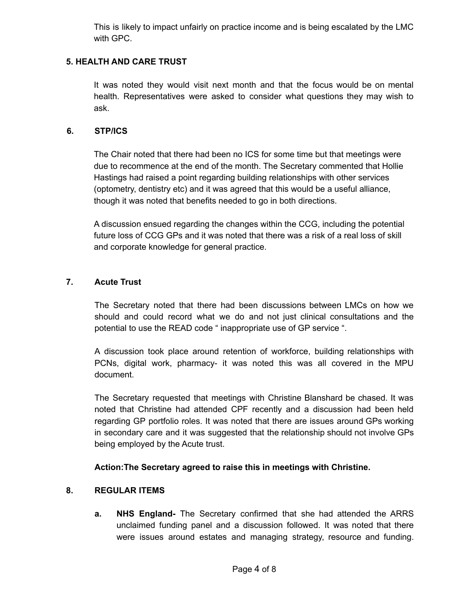This is likely to impact unfairly on practice income and is being escalated by the LMC with GPC.

## **5. HEALTH AND CARE TRUST**

It was noted they would visit next month and that the focus would be on mental health. Representatives were asked to consider what questions they may wish to ask.

#### **6. STP/ICS**

The Chair noted that there had been no ICS for some time but that meetings were due to recommence at the end of the month. The Secretary commented that Hollie Hastings had raised a point regarding building relationships with other services (optometry, dentistry etc) and it was agreed that this would be a useful alliance, though it was noted that benefits needed to go in both directions.

A discussion ensued regarding the changes within the CCG, including the potential future loss of CCG GPs and it was noted that there was a risk of a real loss of skill and corporate knowledge for general practice.

## **7. Acute Trust**

The Secretary noted that there had been discussions between LMCs on how we should and could record what we do and not just clinical consultations and the potential to use the READ code " inappropriate use of GP service ".

A discussion took place around retention of workforce, building relationships with PCNs, digital work, pharmacy- it was noted this was all covered in the MPU document.

The Secretary requested that meetings with Christine Blanshard be chased. It was noted that Christine had attended CPF recently and a discussion had been held regarding GP portfolio roles. It was noted that there are issues around GPs working in secondary care and it was suggested that the relationship should not involve GPs being employed by the Acute trust.

## **Action:The Secretary agreed to raise this in meetings with Christine.**

## **8. REGULAR ITEMS**

**a. NHS England-** The Secretary confirmed that she had attended the ARRS unclaimed funding panel and a discussion followed. It was noted that there were issues around estates and managing strategy, resource and funding.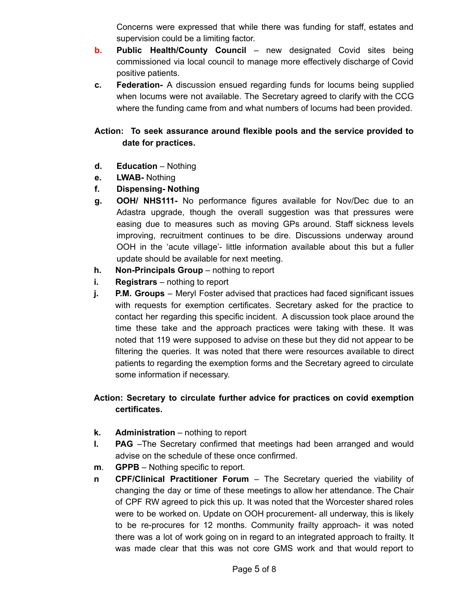Concerns were expressed that while there was funding for staff, estates and supervision could be a limiting factor.

- **b. Public Health/County Council** new designated Covid sites being commissioned via local council to manage more effectively discharge of Covid positive patients.
- **c. Federation-** A discussion ensued regarding funds for locums being supplied when locums were not available. The Secretary agreed to clarify with the CCG where the funding came from and what numbers of locums had been provided.

# **Action: To seek assurance around flexible pools and the service provided to date for practices.**

- **d. Education** Nothing
- **e. LWAB-** Nothing
- **f. Dispensing- Nothing**
- **g. OOH/ NHS111-** No performance figures available for Nov/Dec due to an Adastra upgrade, though the overall suggestion was that pressures were easing due to measures such as moving GPs around. Staff sickness levels improving, recruitment continues to be dire. Discussions underway around OOH in the 'acute village'- little information available about this but a fuller update should be available for next meeting.
- **h. Non-Principals Group** nothing to report
- **i. Registrars** nothing to report
- **j. P.M. Groups** Meryl Foster advised that practices had faced significant issues with requests for exemption certificates. Secretary asked for the practice to contact her regarding this specific incident. A discussion took place around the time these take and the approach practices were taking with these. It was noted that 119 were supposed to advise on these but they did not appear to be filtering the queries. It was noted that there were resources available to direct patients to regarding the exemption forms and the Secretary agreed to circulate some information if necessary.

# **Action: Secretary to circulate further advice for practices on covid exemption certificates.**

- **k. Administration** nothing to report
- **l. PAG** –The Secretary confirmed that meetings had been arranged and would advise on the schedule of these once confirmed.
- **m**. **GPPB** Nothing specific to report.
- **n CPF/Clinical Practitioner Forum** The Secretary queried the viability of changing the day or time of these meetings to allow her attendance. The Chair of CPF RW agreed to pick this up. It was noted that the Worcester shared roles were to be worked on. Update on OOH procurement- all underway, this is likely to be re-procures for 12 months. Community frailty approach- it was noted there was a lot of work going on in regard to an integrated approach to frailty. It was made clear that this was not core GMS work and that would report to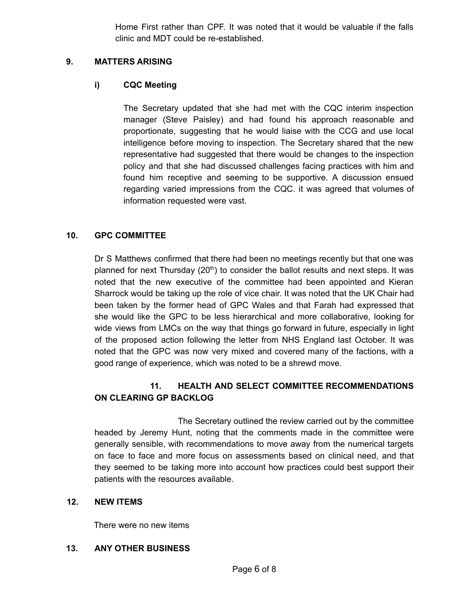Home First rather than CPF. It was noted that it would be valuable if the falls clinic and MDT could be re-established.

#### **9. MATTERS ARISING**

## **i) CQC Meeting**

The Secretary updated that she had met with the CQC interim inspection manager (Steve Paisley) and had found his approach reasonable and proportionate, suggesting that he would liaise with the CCG and use local intelligence before moving to inspection. The Secretary shared that the new representative had suggested that there would be changes to the inspection policy and that she had discussed challenges facing practices with him and found him receptive and seeming to be supportive. A discussion ensued regarding varied impressions from the CQC. it was agreed that volumes of information requested were vast.

## **10. GPC COMMITTEE**

Dr S Matthews confirmed that there had been no meetings recently but that one was planned for next Thursday  $(20<sup>th</sup>)$  to consider the ballot results and next steps. It was noted that the new executive of the committee had been appointed and Kieran Sharrock would be taking up the role of vice chair. It was noted that the UK Chair had been taken by the former head of GPC Wales and that Farah had expressed that she would like the GPC to be less hierarchical and more collaborative, looking for wide views from LMCs on the way that things go forward in future, especially in light of the proposed action following the letter from NHS England last October. It was noted that the GPC was now very mixed and covered many of the factions, with a good range of experience, which was noted to be a shrewd move.

# **11. HEALTH AND SELECT COMMITTEE RECOMMENDATIONS ON CLEARING GP BACKLOG**

The Secretary outlined the review carried out by the committee headed by Jeremy Hunt, noting that the comments made in the committee were generally sensible, with recommendations to move away from the numerical targets on face to face and more focus on assessments based on clinical need, and that they seemed to be taking more into account how practices could best support their patients with the resources available.

#### **12. NEW ITEMS**

There were no new items

#### **13. ANY OTHER BUSINESS**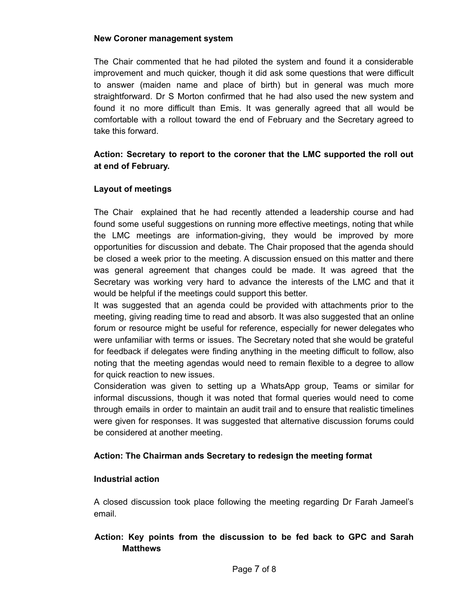#### **New Coroner management system**

The Chair commented that he had piloted the system and found it a considerable improvement and much quicker, though it did ask some questions that were difficult to answer (maiden name and place of birth) but in general was much more straightforward. Dr S Morton confirmed that he had also used the new system and found it no more difficult than Emis. It was generally agreed that all would be comfortable with a rollout toward the end of February and the Secretary agreed to take this forward.

# **Action: Secretary to report to the coroner that the LMC supported the roll out at end of February.**

## **Layout of meetings**

The Chair explained that he had recently attended a leadership course and had found some useful suggestions on running more effective meetings, noting that while the LMC meetings are information-giving, they would be improved by more opportunities for discussion and debate. The Chair proposed that the agenda should be closed a week prior to the meeting. A discussion ensued on this matter and there was general agreement that changes could be made. It was agreed that the Secretary was working very hard to advance the interests of the LMC and that it would be helpful if the meetings could support this better.

It was suggested that an agenda could be provided with attachments prior to the meeting, giving reading time to read and absorb. It was also suggested that an online forum or resource might be useful for reference, especially for newer delegates who were unfamiliar with terms or issues. The Secretary noted that she would be grateful for feedback if delegates were finding anything in the meeting difficult to follow, also noting that the meeting agendas would need to remain flexible to a degree to allow for quick reaction to new issues.

Consideration was given to setting up a WhatsApp group, Teams or similar for informal discussions, though it was noted that formal queries would need to come through emails in order to maintain an audit trail and to ensure that realistic timelines were given for responses. It was suggested that alternative discussion forums could be considered at another meeting.

#### **Action: The Chairman ands Secretary to redesign the meeting format**

#### **Industrial action**

A closed discussion took place following the meeting regarding Dr Farah Jameel's email.

# **Action: Key points from the discussion to be fed back to GPC and Sarah Matthews**